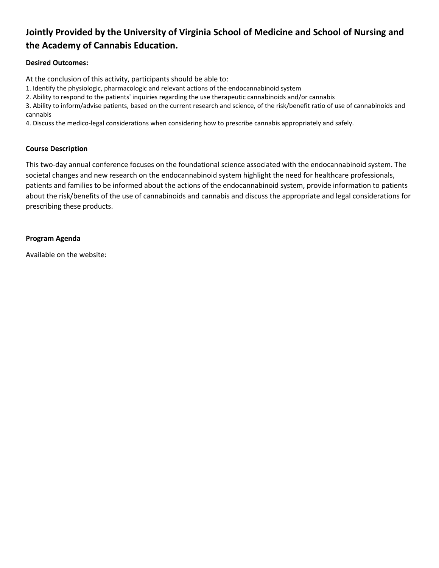# **Jointly Provided by the University of Virginia School of Medicine and School of Nursing and the Academy of Cannabis Education.**

# **Desired Outcomes:**

At the conclusion of this activity, participants should be able to:

1. Identify the physiologic, pharmacologic and relevant actions of the endocannabinoid system

2. Ability to respond to the patients' inquiries regarding the use therapeutic cannabinoids and/or cannabis

3. Ability to inform/advise patients, based on the current research and science, of the risk/benefit ratio of use of cannabinoids and cannabis

4. Discuss the medico-legal considerations when considering how to prescribe cannabis appropriately and safely.

### **Course Description**

This two-day annual conference focuses on the foundational science associated with the endocannabinoid system. The societal changes and new research on the endocannabinoid system highlight the need for healthcare professionals, patients and families to be informed about the actions of the endocannabinoid system, provide information to patients about the risk/benefits of the use of cannabinoids and cannabis and discuss the appropriate and legal considerations for prescribing these products.

### **Program Agenda**

Available on the website: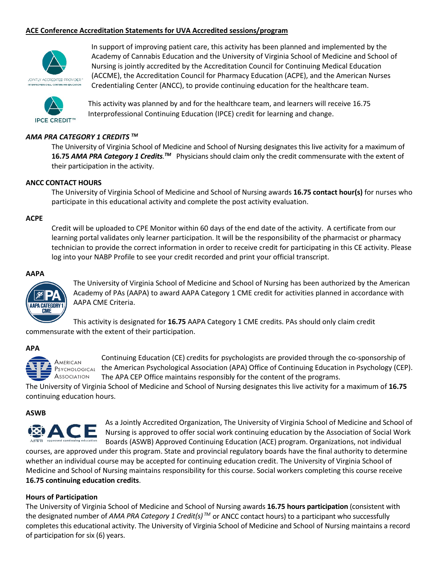### **ACE Conference Accreditation Statements for UVA Accredited sessions/program**



In support of improving patient care, this activity has been planned and implemented by the Academy of Cannabis Education and the University of Virginia School of Medicine and School of Nursing is jointly accredited by the Accreditation Council for Continuing Medical Education (ACCME), the Accreditation Council for Pharmacy Education (ACPE), and the American Nurses Credentialing Center (ANCC), to provide continuing education for the healthcare team.



This activity was planned by and for the healthcare team, and learners will receive 16.75 Interprofessional Continuing Education (IPCE) credit for learning and change.

### *AMA PRA CATEGORY 1 CREDITS TM*

The University of Virginia School of Medicine and School of Nursing designates this live activity for a maximum of **16.75 AMA PRA Category 1 Credits**.<sup>™</sup> Physicians should claim only the credit commensurate with the extent of their participation in the activity.

#### **ANCC CONTACT HOURS**

The University of Virginia School of Medicine and School of Nursing awards **16.75 contact hour(s)** for nurses who participate in this educational activity and complete the post activity evaluation.

#### **ACPE**

Credit will be uploaded to CPE Monitor within 60 days of the end date of the activity. A certificate from our learning portal validates only learner participation. It will be the responsibility of the pharmacist or pharmacy technician to provide the correct information in order to receive credit for participating in this CE activity. Please log into your NABP Profile to see your credit recorded and print your official transcript.

#### **AAPA**



The University of Virginia School of Medicine and School of Nursing has been authorized by the American Academy of PAs (AAPA) to award AAPA Category 1 CME credit for activities planned in accordance with AAPA CME Criteria.

This activity is designated for **16.75** AAPA Category 1 CME credits. PAs should only claim credit commensurate with the extent of their participation.

#### **APA**



Continuing Education (CE) credits for psychologists are provided through the co-sponsorship of PSYCHOLOGICAL the American Psychological Association (APA) Office of Continuing Education in Psychology (CEP). The APA CEP Office maintains responsibly for the content of the programs.

The University of Virginia School of Medicine and School of Nursing designates this live activity for a maximum of **16.75** continuing education hours.

#### **ASWB**



As a Jointly Accredited Organization, The University of Virginia School of Medicine and School of Nursing is approved to offer social work continuing education by the Association of Social Work Boards (ASWB) Approved Continuing Education (ACE) program. Organizations, not individual

courses, are approved under this program. State and provincial regulatory boards have the final authority to determine whether an individual course may be accepted for continuing education credit. The University of Virginia School of Medicine and School of Nursing maintains responsibility for this course. Social workers completing this course receive **16.75 continuing education credits**.

### **Hours of Participation**

The University of Virginia School of Medicine and School of Nursing awards **16.75 hours participation** (consistent with the designated number of *AMA PRA Category 1 Credit(s) TM* or ANCC contact hours) to a participant who successfully completes this educational activity. The University of Virginia School of Medicine and School of Nursing maintains a record of participation for six (6) years.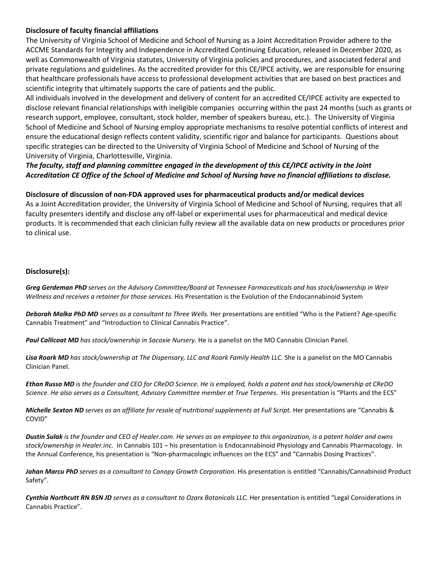### **Disclosure of faculty financial affiliations**

The University of Virginia School of Medicine and School of Nursing as a Joint Accreditation Provider adhere to the ACCME Standards for Integrity and Independence in Accredited Continuing Education, released in December 2020, as well as Commonwealth of Virginia statutes, University of Virginia policies and procedures, and associated federal and private regulations and guidelines. As the accredited provider for this CE/IPCE activity, we are responsible for ensuring that healthcare professionals have access to professional development activities that are based on best practices and scientific integrity that ultimately supports the care of patients and the public.

All individuals involved in the development and delivery of content for an accredited CE/IPCE activity are expected to disclose relevant financial relationships with ineligible companies occurring within the past 24 months (such as grants or research support, employee, consultant, stock holder, member of speakers bureau, etc.). The University of Virginia School of Medicine and School of Nursing employ appropriate mechanisms to resolve potential conflicts of interest and ensure the educational design reflects content validity, scientific rigor and balance for participants. Questions about specific strategies can be directed to the University of Virginia School of Medicine and School of Nursing of the University of Virginia, Charlottesville, Virginia.

# *The faculty, staff and planning committee engaged in the development of this CE/IPCE activity in the Joint Accreditation CE Office of the School of Medicine and School of Nursing have no financial affiliations to disclose.*

### **Disclosure of discussion of non-FDA approved uses for pharmaceutical products and/or medical devices**

As a Joint Accreditation provider, the University of Virginia School of Medicine and School of Nursing, requires that all faculty presenters identify and disclose any off-label or experimental uses for pharmaceutical and medical device products. It is recommended that each clinician fully review all the available data on new products or procedures prior to clinical use.

### **Disclosure(s):**

*Greg Gerdeman PhD serves on the Advisory Committee/Board at Tennessee Farmaceuticals and has stock/ownership in Weir Wellness and receives a retainer for those services.* His Presentation is the Evolution of the Endocannabinoid System

*Deborah Malka PhD MD serves as a consultant to Three Wells.* Her presentations are entitled "Who is the Patient? Age-specific Cannabis Treatment" and "Introduction to Clinical Cannabis Practice".

*Paul Callicoat MD has stock/ownership in Sacoxie Nursery.* He is a panelist on the MO Cannabis Clinician Panel.

*Lisa Roark MD has stock/ownership at The Dispensary, LLC and Roark Family Health LLC.* She is a panelist on the MO Cannabis Clinician Panel.

*Ethan Russo MD is the founder and CEO for CReDO Science. He is employed, holds a patent and has stock/ownership at CReDO*  Science. He also serves as a Consultant, Advisory Committee member at True Terpenes. His presentation is "Plants and the ECS"

*Michelle Sexton ND serves as an affiliate for resale of nutritional supplements at Full Script. Her presentations are "Cannabis &* COVID"

*Dustin Sulak is the founder and CEO of Healer.com. He serves as an employee to this organization, is a patent holder and owns stock/ownership in Healer.inc.* In Cannabis 101 – his presentation is Endocannabinoid Physiology and Cannabis Pharmacology. In the Annual Conference, his presentation is "Non-pharmacologic influences on the ECS" and "Cannabis Dosing Practices".

Jahan Marcu PhD serves as a consultant to Canopy Growth Corporation. His presentation is entitled "Cannabis/Cannabinoid Product Safety".

*Cynthia Northcutt RN BSN JD serves as a consultant to Ozarx Botanicals LLC.* Her presentation is entitled "Legal Considerations in Cannabis Practice".